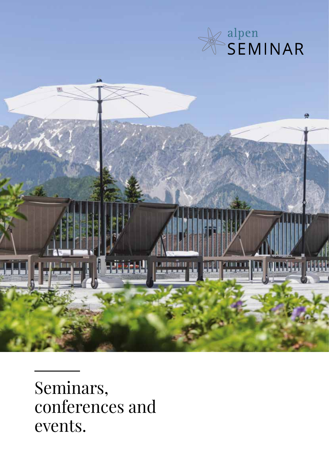



Seminars, conferences and events.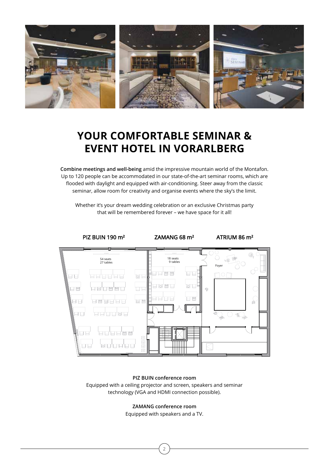

## **YOUR COMFORTABLE SEMINAR & EVENT HOTEL IN VORARLBERG**

**Combine meetings and well-being** amid the impressive mountain world of the Montafon. Up to 120 people can be accommodated in our state-of-the-art seminar rooms, which are flooded with daylight and equipped with air-conditioning. Steer away from the classic seminar, allow room for creativity and organise events where the sky's the limit.

Whether it's your dream wedding celebration or an exclusive Christmas party that will be remembered forever – we have space for it all!



**PIZ BUIN conference room** Equipped with a ceiling projector and screen, speakers and seminar technology (VGA and HDMI connection possible).

**ZAMANG conference room**

Equipped with speakers and a TV.

2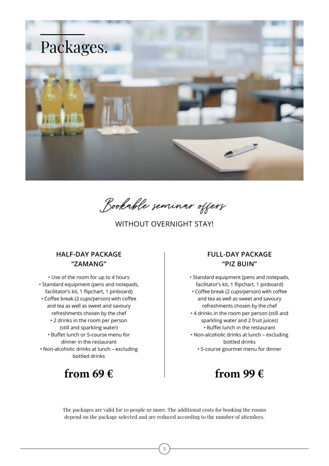

Bookable seminar offers

WITHOUT OVERNIGHT STAY!

#### **HALF-DAY PACKAGE "ZAMANG"**

• Use of the room for up to 4 hours • Standard equipment (pens and notepads, facilitator's kit, 1 flipchart, 1 pinboard) • Coffee break (2 cups/person) with coffee and tea as well as sweet and savoury refreshments chosen by the chef • 2 drinks in the room per person (still and sparkling water) • Buffet lunch or 5-course menu for dinner in the restaurant • Non-alcoholic drinks at lunch – excluding bottled drinks

### **from 69 €**

#### **FULL-DAY PACKAGE "PIZ BUIN"**

• Standard equipment (pens and notepads, facilitator's kit, 1 flipchart, 1 pinboard) • Coffee break (2 cups/person) with coffee and tea as well as sweet and savoury refreshments chosen by the chef • 4 drinks in the room per person (still and sparkling water and 2 fruit juices) • Buffet lunch in the restaurant • Non-alcoholic drinks at lunch – excluding bottled drinks • 5-course gourmet menu for dinner

### **from 99 €**

The packages are valid for 10 people or more. The additional costs for booking the rooms depend on the package selected and are reduced according to the number of attendees.

3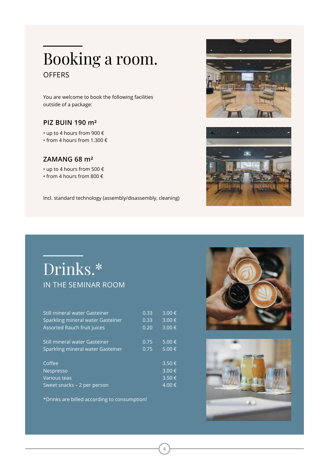# **OFFERS** Booking a room.

You are welcome to book the following facilities outside of a package:

#### **PIZ BUIN 190 m²**

- up to 4 hours from 900 €
- from 4 hours from 1.300 €

#### **ZAMANG 68 m²**

- up to 4 hours from 500 €
- from 4 hours from 800 €

Incl. standard technology (assembly/disassembly, cleaning)



# Drinks.\* IN THE SEMINAR ROOM

| Still mineral water Gasteiner                                             | 0.33 | 3.00€                                 |
|---------------------------------------------------------------------------|------|---------------------------------------|
| Sparkling mineral water Gasteiner                                         | 0.33 | 3.00€                                 |
| Assorted Rauch fruit juices                                               | 0.20 | 3.00€                                 |
| Still mineral water Gasteiner                                             | 0.75 | 5.00 €                                |
| Sparkling mineral water Gasteiner                                         | 0.75 | 5.00€                                 |
| Coffee<br>Nespresso<br><b>Various teas</b><br>Sweet snacks - 2 per person |      | 3.50€<br>3.00€<br>3.50€<br>$4.00 \in$ |

4

\*Drinks are billed according to consumption!



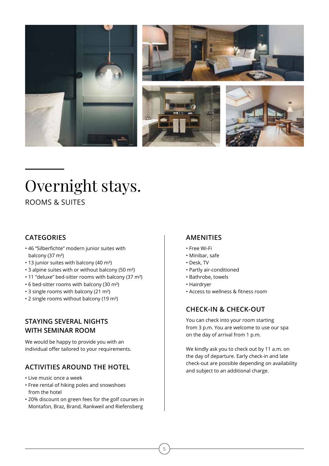







# Overnight stays.

ROOMS & SUITES

#### **CATEGORIES**

- 46 "Silberfichte" modern junior suites with balcony (37 m²)
- 13 junior suites with balcony (40 m²)
- 3 alpine suites with or without balcony (50 m²)
- 11 "deluxe" bed-sitter rooms with balcony (37 m²)
- 6 bed-sitter rooms with balcony (30 m²)
- 3 single rooms with balcony (21 m²)
- 2 single rooms without balcony (19 m²)

#### **STAYING SEVERAL NIGHTS WITH SEMINAR ROOM**

We would be happy to provide you with an individual offer tailored to your requirements.

#### **ACTIVITIES AROUND THE HOTEL**

- Live music once a week
- Free rental of hiking poles and snowshoes from the hotel
- 20% discount on green fees for the golf courses in Montafon, Braz, Brand, Rankweil and Riefensberg

#### **AMENITIES**

- Free Wi-Fi
- Minibar, safe
- Desk, TV
- Partly air-conditioned
- Bathrobe, towels
- Hairdryer
- Access to wellness & fitness room

### **CHECK-IN & CHECK-OUT**

You can check into your room starting from 3 p.m. You are welcome to use our spa on the day of arrival from 1 p.m.

We kindly ask you to check out by 11 a.m. on the day of departure. Early check-in and late check-out are possible depending on availability and subject to an additional charge.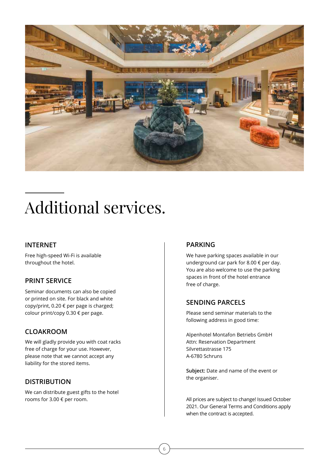

# Additional services.

#### **INTERNET**

Free high-speed Wi-Fi is available throughout the hotel.

#### **PRINT SERVICE**

Seminar documents can also be copied or printed on site. For black and white copy/print, 0.20 € per page is charged; colour print/copy 0.30 € per page.

#### **CLOAKROOM**

We will gladly provide you with coat racks free of charge for your use. However, please note that we cannot accept any liability for the stored items.

#### **DISTRIBUTION**

We can distribute guest gifts to the hotel rooms for 3.00 € per room.

#### **PARKING**

We have parking spaces available in our underground car park for 8.00 € per day. You are also welcome to use the parking spaces in front of the hotel entrance free of charge.

#### **SENDING PARCELS**

Please send seminar materials to the following address in good time:

Alpenhotel Montafon Betriebs GmbH Attn: Reservation Department Silvrettastrasse 175 A-6780 Schruns

**Subject:** Date and name of the event or the organiser.

All prices are subject to change! Issued October 2021. Our General Terms and Conditions apply when the contract is accepted.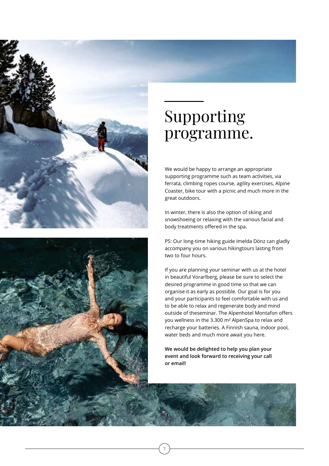



# Supporting programme.

We would be happy to arrange an appropriate supporting programme such as team activities, via ferrata, climbing ropes course, agility exercises, Alpine Coaster, bike tour with a picnic and much more in the great outdoors.

In winter, there is also the option of skiing and snowshoeing or relaxing with the various facial and body treatments offered in the spa.

PS: Our long-time hiking guide Imelda Dönz can gladly accompany you on various hikingtours lasting from two to four hours.

If you are planning your seminar with us at the hotel in beautiful Vorarlberg, please be sure to select the desired programme in good time so that we can organise it as early as possible. Our goal is for you and your participants to feel comfortable with us and to be able to relax and regenerate body and mind outside of theseminar. The Alpenhotel Montafon offers you wellness in the 3.300 m² AlpenSpa to relax and recharge your batteries. A Finnish sauna, indoor pool, water beds and much more await you here.

**We would be delighted to help you plan your event and look forward to receiving your call or email!**

7